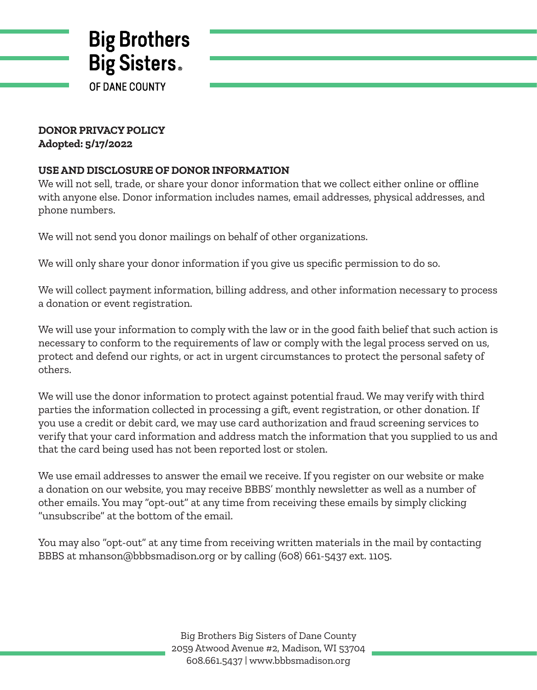

## **DONOR PRIVACY POLICY Adopted: 5/17/2022**

## **USE AND DISCLOSURE OF DONOR INFORMATION**

We will not sell, trade, or share your donor information that we collect either online or offline with anyone else. Donor information includes names, email addresses, physical addresses, and phone numbers.

We will not send you donor mailings on behalf of other organizations.

We will only share your donor information if you give us specific permission to do so.

We will collect payment information, billing address, and other information necessary to process a donation or event registration.

We will use your information to comply with the law or in the good faith belief that such action is necessary to conform to the requirements of law or comply with the legal process served on us, protect and defend our rights, or act in urgent circumstances to protect the personal safety of others.

We will use the donor information to protect against potential fraud. We may verify with third parties the information collected in processing a gift, event registration, or other donation. If you use a credit or debit card, we may use card authorization and fraud screening services to verify that your card information and address match the information that you supplied to us and that the card being used has not been reported lost or stolen.

We use email addresses to answer the email we receive. If you register on our website or make a donation on our website, you may receive BBBS' monthly newsletter as well as a number of other emails. You may "opt-out" at any time from receiving these emails by simply clicking "unsubscribe" at the bottom of the email.

You may also "opt-out" at any time from receiving written materials in the mail by contacting BBBS at mhanson@bbbsmadison.org or by calling (608) 661-5437 ext. 1105.